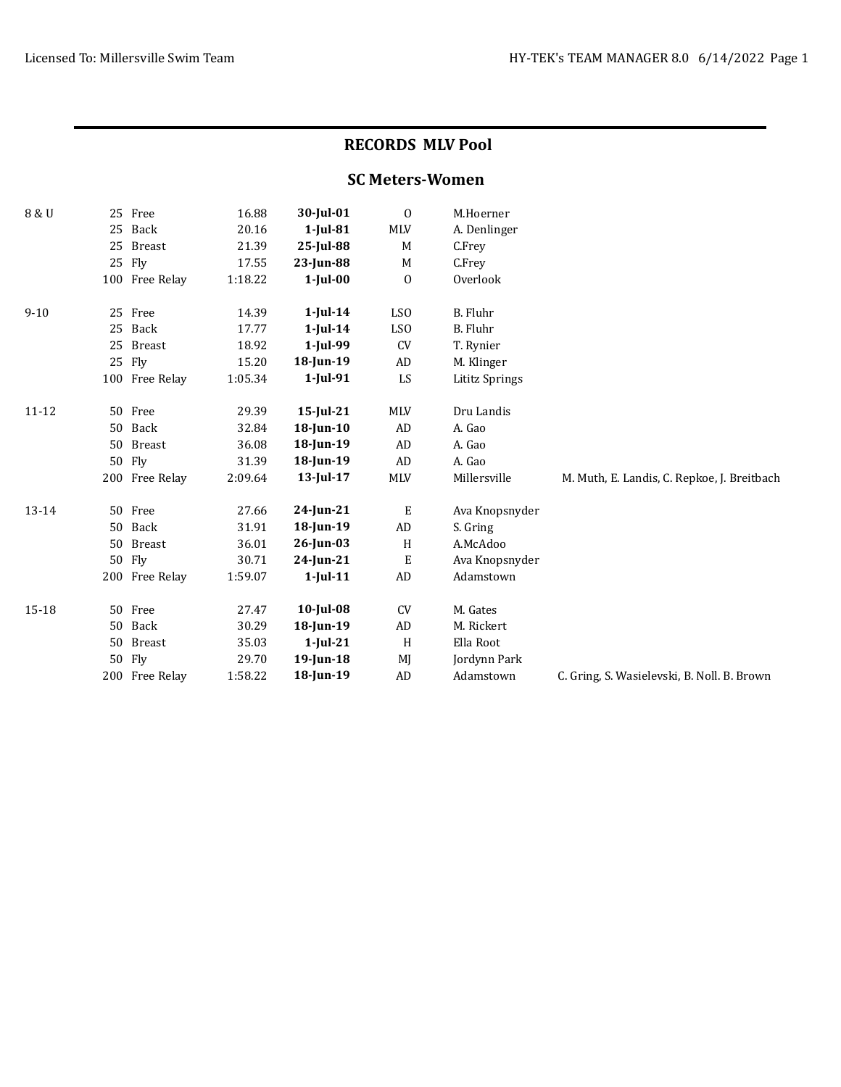## RECORDS MLV Pool

## SC Meters-Women

| 8 & U     | 25 | Free           | 16.88   | 30-Jul-01    | $\mathbf 0$      | M.Hoerner             |                                             |
|-----------|----|----------------|---------|--------------|------------------|-----------------------|---------------------------------------------|
|           | 25 | Back           | 20.16   | $1$ -Jul-81  | <b>MLV</b>       | A. Denlinger          |                                             |
|           | 25 | <b>Breast</b>  | 21.39   | 25-Jul-88    | M                | C.Frey                |                                             |
|           | 25 | Fly            | 17.55   | $23$ -Jun-88 | M                | C.Frey                |                                             |
|           |    | 100 Free Relay | 1:18.22 | $1$ -Jul-00  | $\boldsymbol{0}$ | Overlook              |                                             |
| $9 - 10$  | 25 | Free           | 14.39   | $1$ -Jul-14  | LS <sub>0</sub>  | B. Fluhr              |                                             |
|           | 25 | Back           | 17.77   | $1$ -Jul-14  | LSO              | <b>B.</b> Fluhr       |                                             |
|           | 25 | <b>Breast</b>  | 18.92   | 1-Jul-99     | CV               | T. Rynier             |                                             |
|           |    | 25 Fly         | 15.20   | 18-Jun-19    | ${\rm AD}$       | M. Klinger            |                                             |
|           |    | 100 Free Relay | 1:05.34 | $1$ -Jul-91  | LS               | <b>Lititz Springs</b> |                                             |
| $11 - 12$ |    | 50 Free        | 29.39   | $15$ -Jul-21 | <b>MLV</b>       | Dru Landis            |                                             |
|           | 50 | Back           | 32.84   | $18$ -Jun-10 | AD               | A. Gao                |                                             |
|           | 50 | <b>Breast</b>  | 36.08   | 18-Jun-19    | AD               | A. Gao                |                                             |
|           | 50 | Fly            | 31.39   | 18-Jun-19    | ${\rm AD}$       | A. Gao                |                                             |
|           |    | 200 Free Relay | 2:09.64 | $13$ -Jul-17 | <b>MLV</b>       | Millersville          | M. Muth, E. Landis, C. Repkoe, J. Breitbach |
| 13-14     | 50 | Free           | 27.66   | 24-Jun-21    | Е                | Ava Knopsnyder        |                                             |
|           | 50 | Back           | 31.91   | 18-Jun-19    | AD               | S. Gring              |                                             |
|           | 50 | <b>Breast</b>  | 36.01   | $26$ -Jun-03 | H                | A.McAdoo              |                                             |
|           | 50 | Fly            | 30.71   | 24-Jun-21    | E                | Ava Knopsnyder        |                                             |
|           |    | 200 Free Relay | 1:59.07 | $1$ -Jul-11  | ${\rm AD}$       | Adamstown             |                                             |
| 15-18     | 50 | Free           | 27.47   | $10$ -Jul-08 | CV               | M. Gates              |                                             |
|           | 50 | Back           | 30.29   | 18-Jun-19    | AD               | M. Rickert            |                                             |
|           | 50 | <b>Breast</b>  | 35.03   | $1$ -Jul-21  | H                | Ella Root             |                                             |
|           | 50 | Fly            | 29.70   | $19$ -Jun-18 | MJ               | Jordynn Park          |                                             |
|           |    | 200 Free Relay | 1:58.22 | 18-Jun-19    | AD               | Adamstown             | C. Gring, S. Wasielevski, B. Noll. B. Brown |